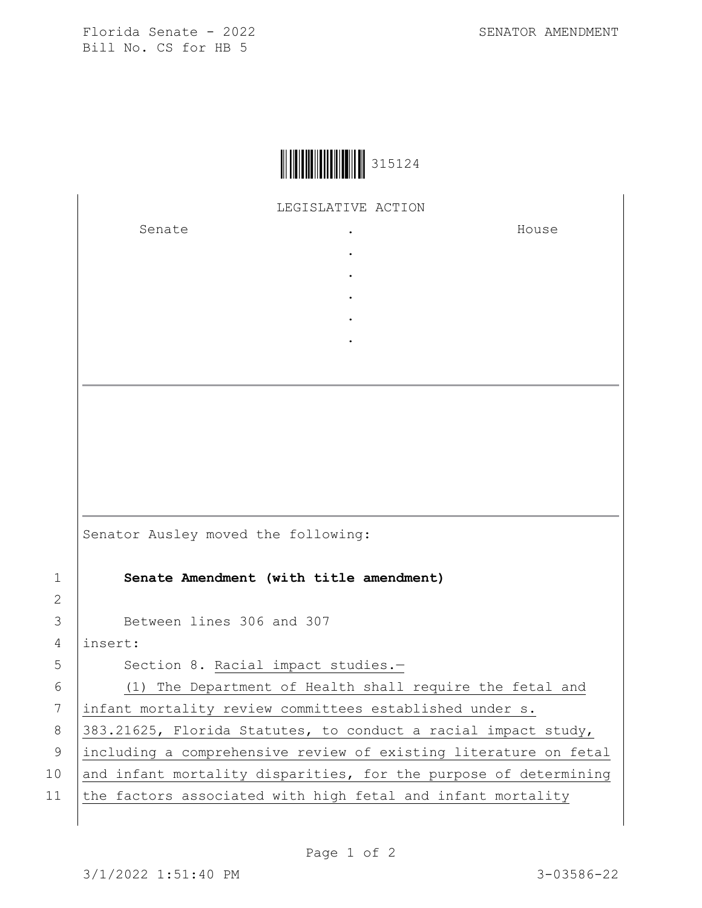Florida Senate - 2022 SENATOR AMENDMENT Bill No. CS for HB 5



LEGISLATIVE ACTION

. . . . .

Senate .

House

Senator Ausley moved the following:

1 **Senate Amendment (with title amendment)**

3 Between lines 306 and 307

4 insert:

2

5 Section 8. Racial impact studies.-

6 (1) The Department of Health shall require the fetal and 7 infant mortality review committees established under s. 8 383.21625, Florida Statutes, to conduct a racial impact study, 9 including a comprehensive review of existing literature on fetal 10  $|$  and infant mortality disparities, for the purpose of determining 11 the factors associated with high fetal and infant mortality